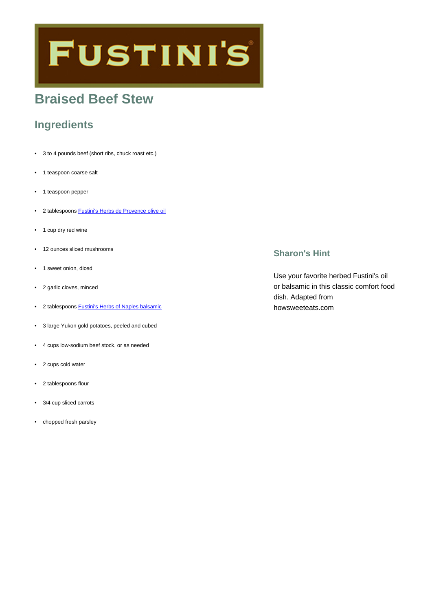# **FUSTINI'S**

## **Braised Beef Stew**

## **Ingredients**

- 3 to 4 pounds beef (short ribs, chuck roast etc.)
- 1 teaspoon coarse salt
- 1 teaspoon pepper
- 2 tablespoons [Fustini's Herbs de Provence olive oil](https://www.fustinis.com/order/herbs-de-provence_166/)
- 1 cup dry red wine
- 12 ounces sliced mushrooms
- 1 sweet onion, diced
- 2 garlic cloves, minced
- 2 tablespoons [Fustini's Herbs of Naples balsamic](https://www.fustinis.com/order/herbs-of-naples-dark_291/)
- 3 large Yukon gold potatoes, peeled and cubed
- 4 cups low-sodium beef stock, or as needed
- 2 cups cold water
- 2 tablespoons flour
- 3/4 cup sliced carrots
- chopped fresh parsley

## **Sharon's Hint**

Use your favorite herbed Fustini's oil or balsamic in this classic comfort food dish. Adapted from howsweeteats.com